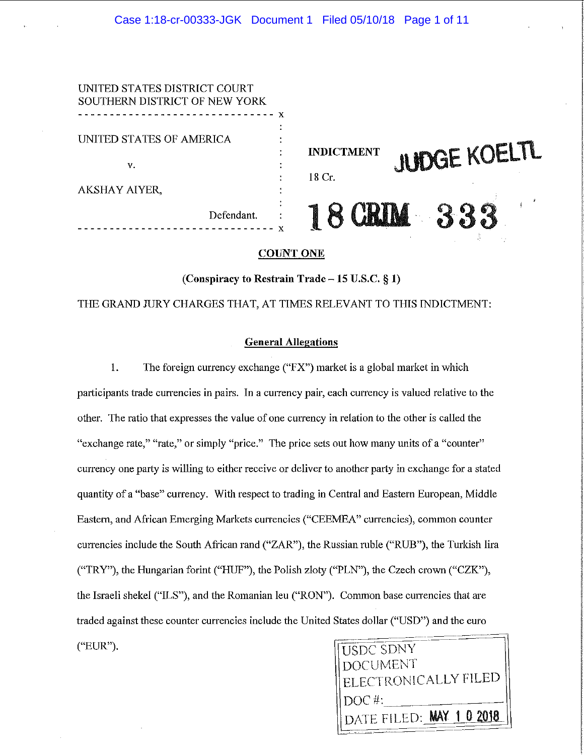| UNITED STATES DISTRICT COURT<br>SOUTHERN DISTRICT OF NEW YORK |                                   |
|---------------------------------------------------------------|-----------------------------------|
|                                                               |                                   |
| UNITED STATES OF AMERICA                                      | JUDGE KOELTL<br><b>INDICTMENT</b> |
| V.                                                            | 18 Cr.                            |
| AKSHAY AIYER,                                                 |                                   |
| Defendant.                                                    | <b>CHIM 33</b>                    |

# **COUNT ONE**

**(Conspiracy to Restrain Trade -15 U.S.C. § 1)** 

THE GRAND *JURY*CHARGES THAT, AT TIMES RELEVANT TO THIS INDICTMENT:

# **General Allegations**

I. The foreign currency exchange ("FX") market is a global market in which participants trade currencies in pairs. In a currency pair, each currency is valued relative to the other. The ratio that expresses the value of one currency in relation to the other is called the "exchange rate," "rate," or simply "price." The price sets out how many units of a "counter" currency one party is willing to either receive or deliver to another party in exchange for a stated quantity of a "base" currency. With respect to trading in Central and Eastern European, Middle Eastern, and African Emerging Markets currencies ("CEEMEA" currencies), common counter currencies include the South African rand ("ZAR"), the Russian ruble ("RUB"), the Turkish lira ("TRY"), the Hungarian forint ("HUF"), the Polish zloty ("PLN"), the Czech crown ("CZK"), the Israeli shekel ("ILS"), and the Romanian leu ("RON"). Common base currencies that are traded against these counter currencies include the United States dollar ("USD") and the euro ("EUR").

USDC SDNY DOCUMENT ELECTRONICALLY FILED DOC #: DATE FILED: MAY 102018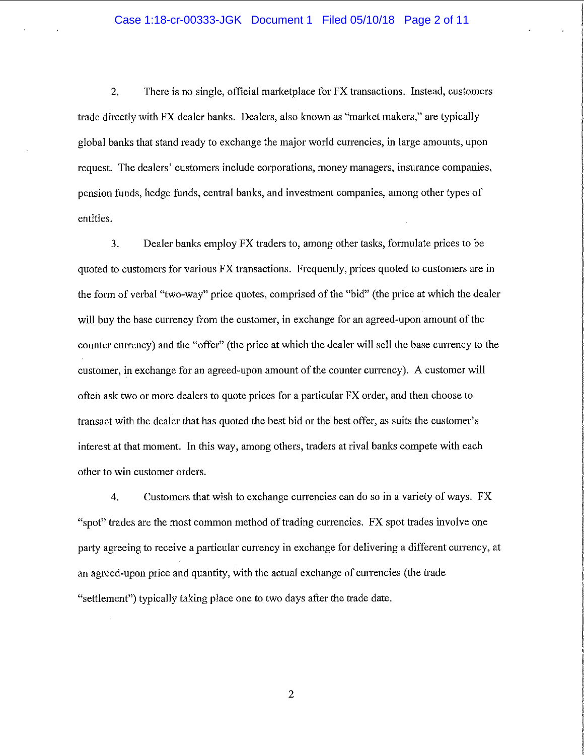# Case 1:18-cr-00333-JGK Document 1 Filed 05/10/18 Page 2 of 11

2. There is no single, official marketplace for FX transactions. Instead, customers trade directly with FX dealer banks. Dealers, also known as "market makers," are typically global banks that stand ready to exchange the major world currencies, in large amounts, upon request. The dealers' customers include corporations, money managers, insurance companies, pension funds, hedge funds, central banks, and investment companies, among other types of entities.

3. Dealer banks employ FX traders to, among other tasks, formulate prices to be quoted to customers for various FX transactions. Frequently, prices quoted to customers are in the form of verbal "two-way" price quotes, comprised of the "bid" (the price at which the dealer will buy the base currency from the customer, in exchange for an agreed-upon amount of the counter currency) and the "offer" (the price at which the dealer will sell the base currency to the customer, in exchange for an agreed-upon amount of the counter currency). A customer will often ask two or more dealers to quote prices for a particular FX order, and then choose to transact with the dealer that has quoted the best bid or the best offer, as suits the customer's interest at that moment. In this way, among others, traders at rival banks compete with each other to win customer orders.

4. Customers that wish to exchange currencies can do so in a variety of ways. FX "spot" trades are the most common method of trading currencies. FX spot trades involve one party agreeing to receive a particular currency in exchange for delivering a different currency, at an agreed-upon price and quantity, with the actual exchange of currencies (the trade "settlement") typically taking place one to two days after the trade date.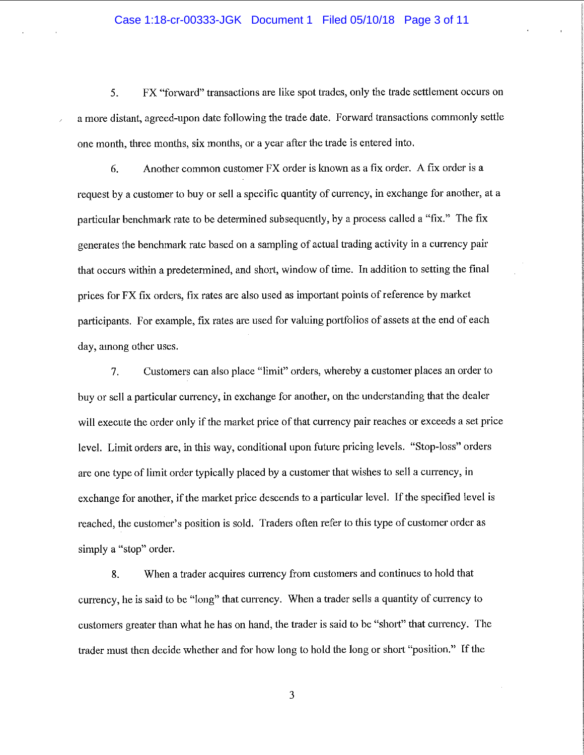# Case 1:18-cr-00333-JGK Document 1 Filed 05/10/18 Page 3 of 11

5. FX "forward" transactions are like spot trades, only the trade settlement occurs on a more distant, agreed-upon date following the trade date. Forward transactions commonly settle one month, three months, six months, or a year after the trade is entered into.

6. Another common customer FX order is known as a fix order. A fix order is a request by a customer to buy or sell a specific quantity of currency, in exchange for another, at a particular benchmark rate to be determined subsequently, by a process called a "fix." The fix generates the benchmark rate based on a sampling of actual trading activity in a currency pair that occurs within a predetermined, and short, window of time. In addition to setting the final prices for FX fix orders, fix rates are also used as important points of reference by market participants. For example, fix rates are used for valuing portfolios of assets at the end of each day, among other uses.

7. Customers can also place "limit" orders, whereby a customer places an order to buy or sell a particular currency, in exchange for another, on the understanding that the dealer will execute the order only if the market price of that currency pair reaches or exceeds a set price level. Limit orders are, in this way, conditional upon future pricing levels. "Stop-loss" orders are one type of limit order typically placed by a customer that wishes to sell a currency, in exchange for another, if the market price descends to a particular level. If the specified level is reached, the customer's position is sold. Traders often refer to this type of customer order as simply a "stop" order.

8. When a trader acquires currency from customers and continues to hold that currency, he is said to be "long" that currency. When a trader sells a quantity of currency to customers greater than what he has on hand, the trader is said to be "short" that currency. The trader must then decide whether and for how long to hold the long or short "position." If the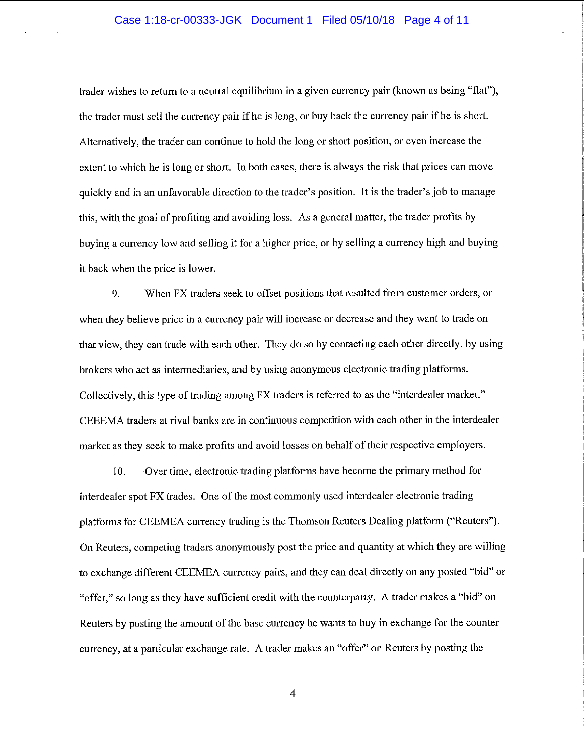# Case 1:18-cr-00333-JGK Document 1 Filed 05/10/18 Page 4 of 11

trader wishes to return to a neutral equilibrium in a given currency pair (known as being "flat"), the trader must sell the currency pair if he is long, or buy back the currency pair if he is short. Alternatively, the trader can continue to hold the long or short position, or even increase the extent to which he is long or short. In both cases, there is always the risk that prices can move quickly and in an unfavorable direction to the trader's position. It is the trader's job to manage this, with the goal of profiting and avoiding loss. As a general matter, the trader profits by buying a currency low and selling it for a higher price, or by selling a currency high and buying it back when the price is lower.

9. When FX traders seek to offset positions that resulted from customer orders, or when they believe price in a currency pair will increase or decrease and they want to trade on that view, they can trade with each other. They do so by contacting each other directly, by using brokers who act as intermediaries, and by using anonymous electronic trading platforms. Collectively, this type of trading among FX traders is referred to as the "interdealer market." CEEEMA traders at rival banks are in continuous competition with each other in the interdealer market as they seek to make profits and avoid losses on behalf of their respective employers.

10. Over time, electronic trading platforms have become the primary method for interdealer spot FX trades. One of the most commonly used interdealer electronic trading platforms for CEEMEA currency trading is the Thomson Reuters Dealing platform ("Reuters"). On Reuters, competing traders anonymously post the price and quantity at which they are willing to exchange different CEEMEA currency pairs, and they can deal directly on any posted "bid" or "offer," so long as they have sufficient credit with the counterparty. A trader makes a "bid" on Reuters by posting the amount of the base currency he wants to buy in exchange for the counter currency, at a particular exchange rate. A trader makes an "offer" on Reuters by posting the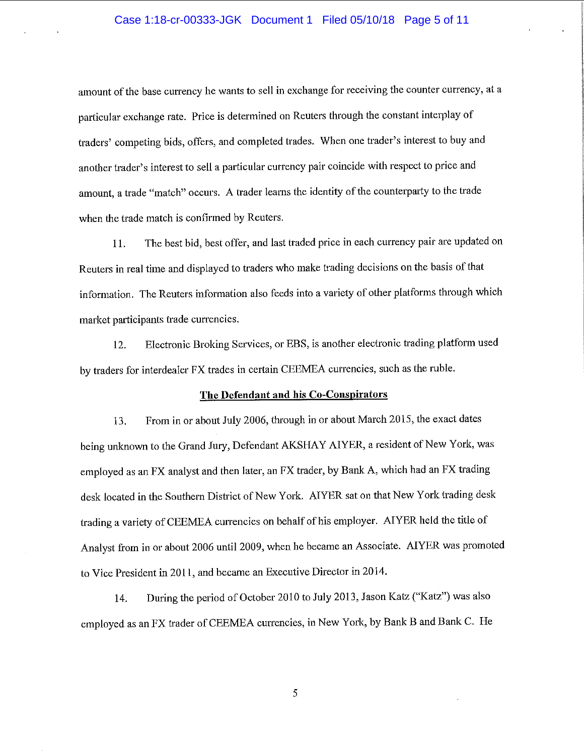# Case 1:18-cr-00333-JGK Document 1 Filed 05/10/18 Page 5 of 11

amount of the base currency he wants to sell in exchange for receiving the counter currency, at a particular exchange rate. Price is determined on Reuters through the constant interplay of traders' competing bids, offers, and completed trades. When one trader's interest to buy and another trader's interest to sell a particular currency pair coincide with respect to price and amount, a trade "match" occurs. A trader learns the identity of the counterparty to the trade when the trade match is confirmed by Reuters.

11. The best bid, best offer, and last traded price in each currency pair are updated on Reuters in real time and displayed to traders who make trading decisions on the basis of that information. The Reuters information also feeds into a variety of other platforms through which market participants trade currencies.

12. Electronic Broking Services, or EBS, is another electronic trading platform used by traders for interdealer FX trades in certain CEEMEA currencies, such as the ruble.

# **The Defendant and his Co-Conspirators**

13. From in or about July 2006, through in or about March 2015, the exact dates being unknown to the Grand Jury, Defendant AKSHAY AIYER, a resident of New York, was employed as an FX analyst and then later, an FX trader, by Bank A, which had an FX trading desk located in the Southern District of New York. AIYER sat on that New York trading desk trading a variety of CEEMEA currencies on behalf of his employer. AIYER held the title of Analyst from in or about 2006 until 2009, when he became an Associate. AIYER was promoted to Vice President in 2011, and became an Executive Director in 2014.

14. During the period of October 2010 to July 2013, Jason Katz ("Katz") was also employed as an FX trader of CEEMEA currencies, in New York, by Bank B and Bank C. He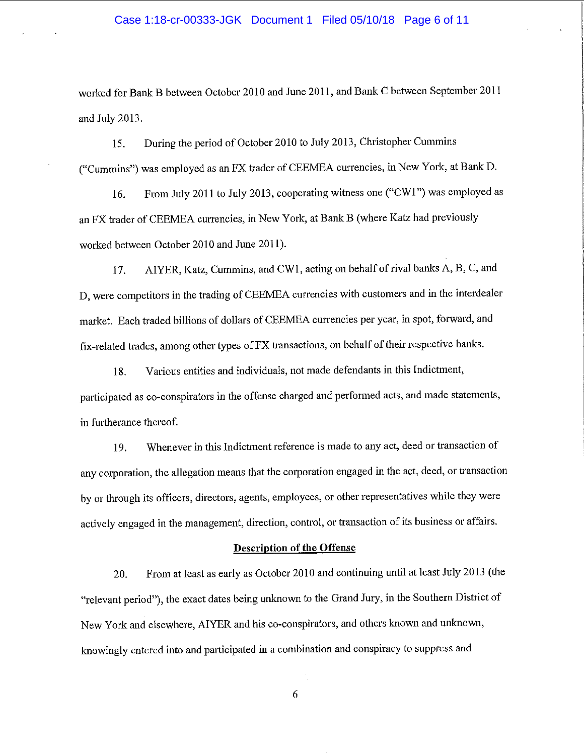worked for Bank **B** between October 2010 and June 2011, and Bank C between September 2011 and July 2013.

15. During the period of October 2010 to July 2013, Christopher Cummins ("Cummins") was employed as an FX trader of CEEMEA currencies, in New York, at Bank D.

16. From July 2011 to July 2013, cooperating witness one ("CWl") was employed as an FX trader of CEEMEA currencies, in New York at Bank B (where Katz had previously worked between October 2010 and June 2011).

17. AIYER, Katz, Cummins, and CW!, acting on behalf of rival banks A, B, C, and D, were competitors in the trading of CEEMEA currencies with customers and in the interdealer market. Each traded billions of dollars of CEEMEA currencies per year, in spot, forward, and fix-related trades, among other types of FX transactions, on behalf of their respective banks.

18. Various entities and individuals, not made defendants in this Indictment, participated as co-conspirators in the offense charged and performed acts, and made statements, in furtherance thereof.

19. Whenever in this Indictment reference is made to any act, deed or transaction of any corporation, the allegation means that the corporation engaged in the act, deed, or transaction by or through its officers, directors, agents, employees, or other representatives while they were actively engaged in the management, direction, control, or transaction of its business or affairs.

#### **Description of the Offense**

20. From at least as early as October 2010 and continuing until at least July 2013 (the "relevant period"), the exact dates being unknown to the Grand Jury, in the Southern District of New York and elsewhere, AIYER and his co-conspirators, and others known and unknown, knowingly entered into and participated in a combination and conspiracy to suppress and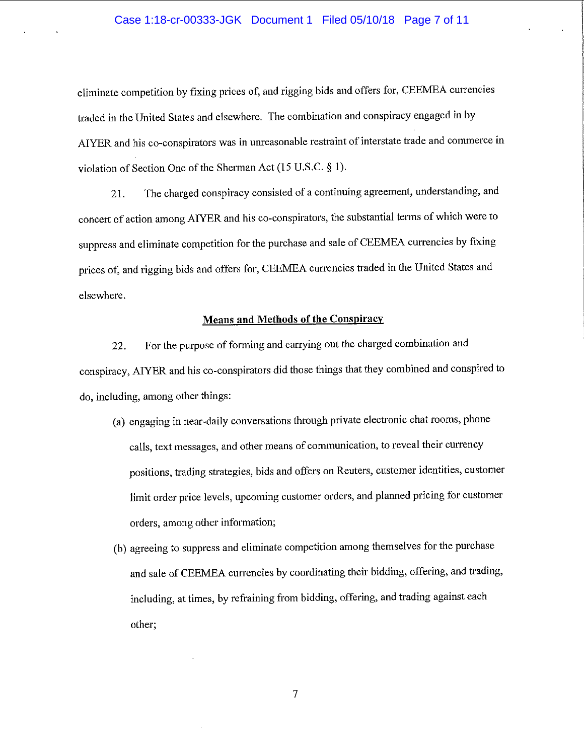# Case 1:18-cr-00333-JGK Document 1 Filed 05/10/18 Page 7 of 11

eliminate competition by fixing prices of, and rigging bids and offers for, CEEMEA currencies traded in the United States and elsewhere. The combination and conspiracy engaged in by AIYER and his co-conspirators was in unreasonable restraint of interstate trade and commerce in violation of Section One of the Sherman Act (15 U.S.C. § I).

21. The charged conspiracy consisted of a continuing agreement, understanding, and concert of action among AIYER and his co-conspirators, the substantial terms of which were to suppress and eliminate competition for the purchase and sale of CEEMEA currencies by fixing prices of, and rigging bids and offers for, CEEMEA currencies traded in the United States and elsewhere.

# **Means and Methods of the Conspiracy**

22. For the purpose of forming and carrying out the charged combination and conspiracy, AIYER and his co-conspirators did those things that they combined and conspired to do, including, among other things:

- (a) engaging in near-daily conversations through private electronic chat rooms, phone calls, text messages, and other means of communication, to reveal their currency positions, trading strategies, bids and offers on Reuters, customer identities, customer limit order price levels, upcoming customer orders, and planned pricing for customer orders, among other information;
- (b) agreeing to suppress and eliminate competition among themselves for the purchase and sale of CEEMEA currencies by coordinating their bidding, offering, and trading, including, at times, by refraining from bidding, offering, and trading against each other;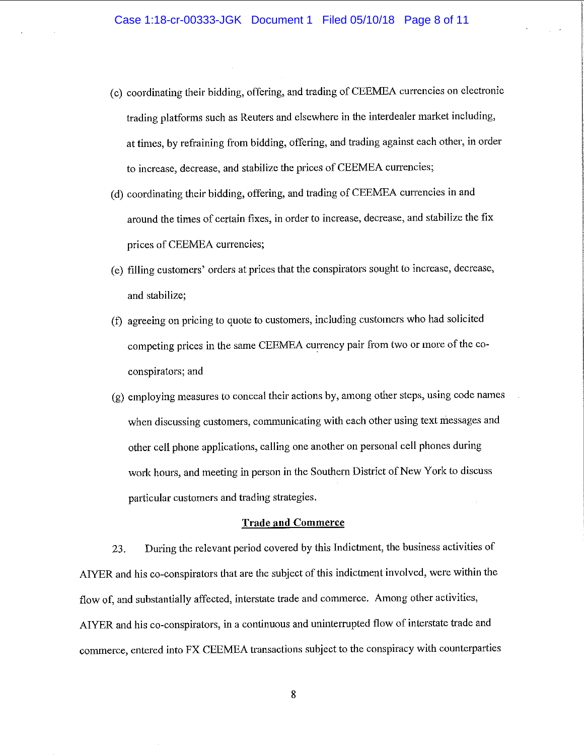- (c) coordinating their bidding, offering, and trading of CEEMEA currencies on electronic trading platforms such as Reuters and elsewhere in the interdealer market including, at times, by refraining from bidding, offering, and trading against each other, in order to increase, decrease, and stabilize the prices of CEEMEA currencies;
- (d) coordinating their bidding, offering, and trading of CEEMEA currencies in and around the times of certain fixes, in order to increase, decrease, and stabilize the fix prices of CEEMEA currencies;
- ( e) filling customers' orders at prices that the conspirators sought to increase, decrease, and stabilize;
- (f) agreeing on pricing to quote to customers, including customers who had solicited competing prices in the same CEEMEA currency pair from two or more of the coconspirators; and
- (g) employing measures to conceal their actions by, among other steps, using code names when discussing customers, communicating with each other using text messages and other cell phone applications, calling one another on personal cell phones during work hours, and meeting in person in the Southern District of New York to discuss particular customers and trading strategies.

#### **Trade and Commerce**

23. During the relevant period covered by this Indictment, the business activities of AIYER and his co-conspirators that are the subject of this indictment involved, were within the flow of, and substantially affected, interstate trade and commerce. Among other activities, AIYER and his co-conspirators, in a continuous and uninterrupted flow of interstate trade and commerce, entered into FX CEEMEA transactions subject to the conspiracy with counterparties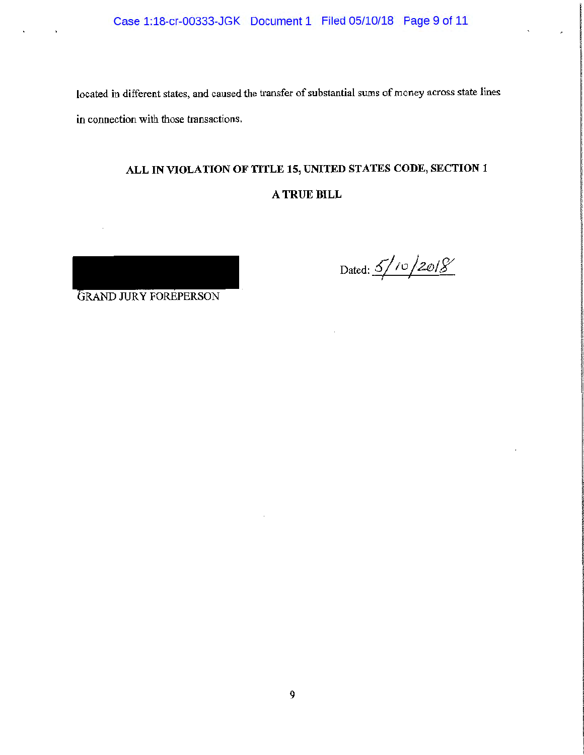located in different states, and caused the transfer of substantial sums of money across state lines in connection with those transactions.

# **ALL IN VIOLATION OF TITLE 1S, UNITED STATES CODE, SECTION 1 A TRUE BILL**



Dated:  $\frac{5/10}{2018}$